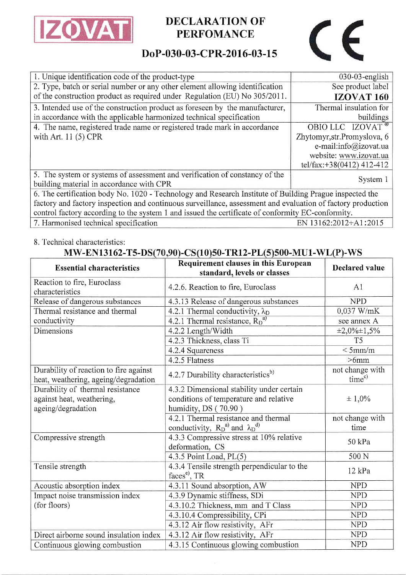

## PERFOMANCE

# $\epsilon$

### DoP-030-03-CPR-2016-03-15

| 1. Unique identification code of the product-type                                                           | $030-03$ -english            |  |  |
|-------------------------------------------------------------------------------------------------------------|------------------------------|--|--|
| 2. Type, batch or serial number or any other element allowing identification                                | See product label            |  |  |
| of the construction product as required under Regulation (EU) No 305/2011.                                  | <b>IZOVAT 160</b>            |  |  |
| 3. Intended use of the construction product as foreseen by the manufacturer,                                | Thermal insulation for       |  |  |
| in accordance with the applicable harmonized technical specification                                        | buildings                    |  |  |
| 4. The name, registered trade name or registered trade mark in accordance                                   | OBIO LLC IZOVAT <sup>®</sup> |  |  |
| with Art. $11(5)$ CPR                                                                                       | Zhytomyr, str. Promyslova, 6 |  |  |
|                                                                                                             | e-mail:info@izovat.ua        |  |  |
|                                                                                                             | website: www.izovat.ua       |  |  |
|                                                                                                             | tel/fax:+38(0412) 412-412    |  |  |
| 5. The system or systems of assessment and verification of constancy of the                                 | System 1                     |  |  |
| building material in accordance with CPR                                                                    |                              |  |  |
| 6. The certification body No. 1020 - Technology and Research Institute of Building Prague inspected the     |                              |  |  |
| factory and factory inspection and continuous surveillance, assessment and evaluation of factory production |                              |  |  |
| control factory according to the system 1 and issued the certificate of conformity EC-conformity.           |                              |  |  |
| 7. Harmonised technical specification                                                                       | EN 13162:2012+A1:2015        |  |  |

#### 8, Technical characteristics:

#### MW-EN13162-T5-DS(70,90)-CS(10)50-TR12-PL(5)500-MU1-WL(P)-WS

| <b>Essential characteristics</b>                                               | Requirement clauses in this European<br>standard, levels or classes      | <b>Declared value</b>                 |
|--------------------------------------------------------------------------------|--------------------------------------------------------------------------|---------------------------------------|
| Reaction to fire, Euroclass<br>characteristics                                 | 4.2.6. Reaction to fire, Euroclass                                       | A <sub>1</sub>                        |
| Release of dangerous substances                                                | 4.3.13 Release of dangerous substances                                   | <b>NPD</b>                            |
| Thermal resistance and thermal                                                 | 4.2.1 Thermal conductivity, $\lambda_D$                                  | 0,037 W/mK                            |
| conductivity                                                                   | 4.2.1 Thermal resistance, $R_D^{a}$                                      | see annex A                           |
| <b>Dimensions</b>                                                              | 4.2.2 Length/Width                                                       | $\pm 2,0\% \pm 1,5\%$                 |
|                                                                                | 4.2.3 Thickness, class Ti                                                | T <sub>5</sub>                        |
|                                                                                | 4.2.4 Squareness                                                         | $<$ 5mm/m                             |
|                                                                                | 4.2.5 Flatness                                                           | $>6$ mm                               |
| Durability of reaction to fire against<br>heat, weathering, ageing/degradation | 4.2.7 Durability characteristics <sup>b)</sup>                           | not change with<br>time <sup>c)</sup> |
| Durability of thermal resistance                                               | 4.3.2 Dimensional stability under certain                                |                                       |
| against heat, weathering,                                                      | conditions of temperature and relative                                   | $\pm 1,0\%$                           |
| ageing/degradation                                                             | humidity, DS (70.90)                                                     |                                       |
|                                                                                | 4.2.1 Thermal resistance and thermal                                     | not change with                       |
|                                                                                | conductivity, $R_D^{a)}$ and $\lambda_D^{d)}$                            | time                                  |
| Compressive strength                                                           | 4.3.3 Compressive stress at 10% relative<br>deformation, CS              | $50$ kPa                              |
|                                                                                | 4.3.5 Point Load, $PL(5)$                                                | 500 <sub>N</sub>                      |
| Tensile strength                                                               | 4.3.4 Tensile strength perpendicular to the<br>faces <sup>e</sup> , $TR$ | $12$ kPa                              |
| Acoustic absorption index                                                      | 4.3.11 Sound absorption, AW                                              | <b>NPD</b>                            |
| Impact noise transmission index                                                | 4.3.9 Dynamic stiffness, SDi                                             | <b>NPD</b>                            |
| (for floors)                                                                   | 4.3.10.2 Thickness, mm and T Class                                       | <b>NPD</b>                            |
|                                                                                | 4.3.10.4 Compressibility, CPi                                            | <b>NPD</b>                            |
|                                                                                | 4.3.12 Air flow resistivity, AFr                                         | <b>NPD</b>                            |
| Direct airborne sound insulation index                                         | 4.3.12 Air flow resistivity, AFr                                         | <b>NPD</b>                            |
| Continuous glowing combustion                                                  | 4.3.15 Continuous glowing combustion                                     | <b>NPD</b>                            |